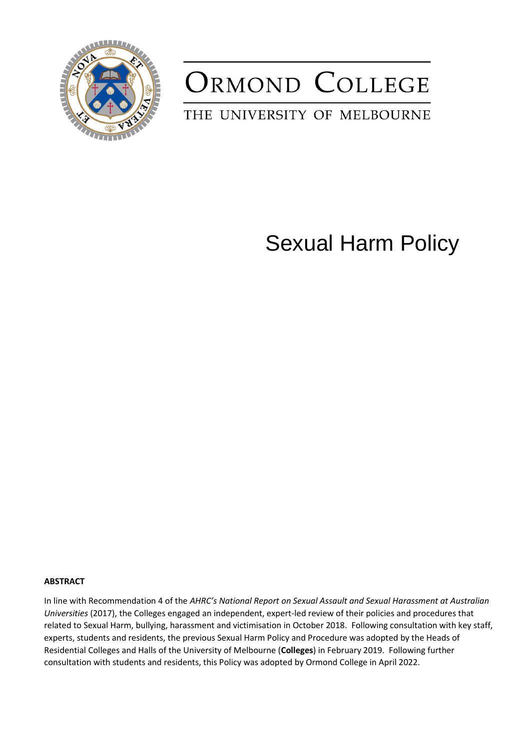

## ORMOND COLLEGE

## THE UNIVERSITY OF MELBOURNE

## Sexual Harm Policy

#### **ABSTRACT**

In line with Recommendation 4 of the *AHRC's National Report on Sexual Assault and Sexual Harassment at Australian Universities* (2017), the Colleges engaged an independent, expert-led review of their policies and procedures that related to Sexual Harm, bullying, harassment and victimisation in October 2018. Following consultation with key staff, experts, students and residents, the previous Sexual Harm Policy and Procedure was adopted by the Heads of Residential Colleges and Halls of the University of Melbourne (**Colleges**) in February 2019. Following further consultation with students and residents, this Policy was adopted by Ormond College in April 2022.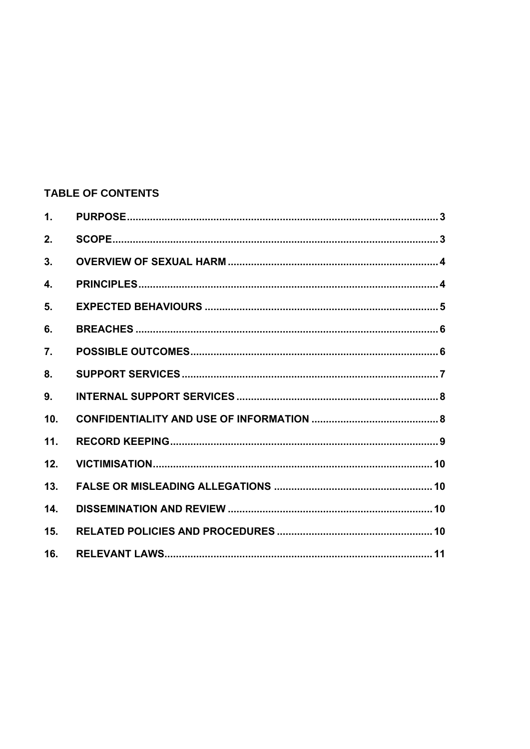## **TABLE OF CONTENTS**

| $\mathbf{1}$ . |  |
|----------------|--|
| 2.             |  |
| 3.             |  |
| 4.             |  |
| 5.             |  |
| 6.             |  |
| 7.             |  |
| 8.             |  |
| 9.             |  |
| 10.            |  |
| 11.            |  |
| 12.            |  |
| 13.            |  |
| 14.            |  |
| 15.            |  |
| 16.            |  |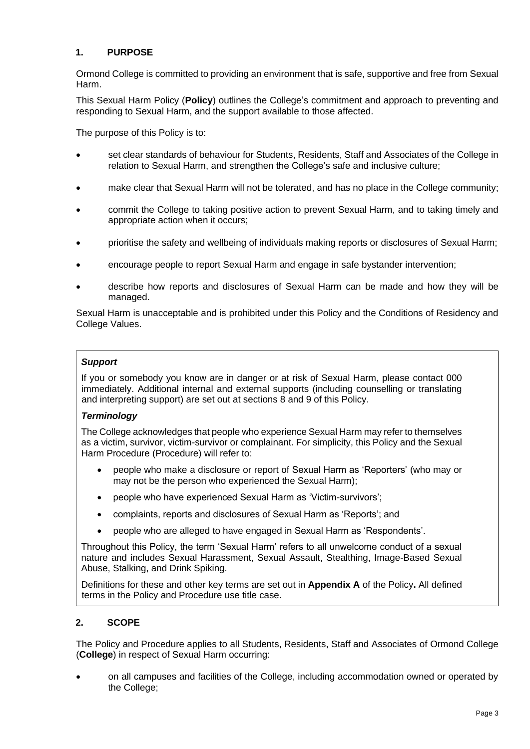#### <span id="page-2-0"></span>**1. PURPOSE**

Ormond College is committed to providing an environment that is safe, supportive and free from Sexual Harm.

This Sexual Harm Policy (**Policy**) outlines the College's commitment and approach to preventing and responding to Sexual Harm, and the support available to those affected.

The purpose of this Policy is to:

- set clear standards of behaviour for Students, Residents, Staff and Associates of the College in relation to Sexual Harm, and strengthen the College's safe and inclusive culture;
- make clear that Sexual Harm will not be tolerated, and has no place in the College community;
- commit the College to taking positive action to prevent Sexual Harm, and to taking timely and appropriate action when it occurs;
- prioritise the safety and wellbeing of individuals making reports or disclosures of Sexual Harm;
- encourage people to report Sexual Harm and engage in safe bystander intervention;
- describe how reports and disclosures of Sexual Harm can be made and how they will be managed.

Sexual Harm is unacceptable and is prohibited under this Policy and the Conditions of Residency and College Values.

#### *Support*

If you or somebody you know are in danger or at risk of Sexual Harm, please contact 000 immediately. Additional internal and external supports (including counselling or translating and interpreting support) are set out at sections [8](#page-6-0) and [9](#page-7-0) of this Policy.

#### *Terminology*

The College acknowledges that people who experience Sexual Harm may refer to themselves as a victim, survivor, victim-survivor or complainant. For simplicity, this Policy and the Sexual Harm Procedure (Procedure) will refer to:

- people who make a disclosure or report of Sexual Harm as 'Reporters' (who may or may not be the person who experienced the Sexual Harm);
- people who have experienced Sexual Harm as 'Victim-survivors';
- complaints, reports and disclosures of Sexual Harm as 'Reports'; and
- people who are alleged to have engaged in Sexual Harm as 'Respondents'.

Throughout this Policy, the term 'Sexual Harm' refers to all unwelcome conduct of a sexual nature and includes Sexual Harassment, Sexual Assault, Stealthing, Image-Based Sexual Abuse, Stalking, and Drink Spiking.

Definitions for these and other key terms are set out in **Appendix A** of the Policy**.** All defined terms in the Policy and Procedure use title case.

#### <span id="page-2-1"></span>**2. SCOPE**

The Policy and Procedure applies to all Students, Residents, Staff and Associates of Ormond College (**College**) in respect of Sexual Harm occurring:

• on all campuses and facilities of the College, including accommodation owned or operated by the College;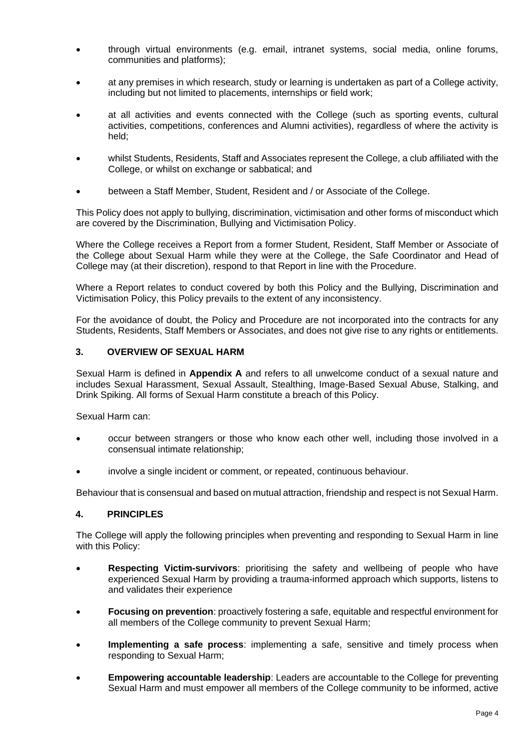- through virtual environments (e.g. email, intranet systems, social media, online forums, communities and platforms);
- at any premises in which research, study or learning is undertaken as part of a College activity, including but not limited to placements, internships or field work;
- at all activities and events connected with the College (such as sporting events, cultural activities, competitions, conferences and Alumni activities), regardless of where the activity is held;
- whilst Students, Residents, Staff and Associates represent the College, a club affiliated with the College, or whilst on exchange or sabbatical; and
- between a Staff Member, Student, Resident and / or Associate of the College.

This Policy does not apply to bullying, discrimination, victimisation and other forms of misconduct which are covered by the Discrimination, Bullying and Victimisation Policy.

Where the College receives a Report from a former Student, Resident, Staff Member or Associate of the College about Sexual Harm while they were at the College, the Safe Coordinator and Head of College may (at their discretion), respond to that Report in line with the Procedure.

Where a Report relates to conduct covered by both this Policy and the Bullying, Discrimination and Victimisation Policy, this Policy prevails to the extent of any inconsistency.

For the avoidance of doubt, the Policy and Procedure are not incorporated into the contracts for any Students, Residents, Staff Members or Associates, and does not give rise to any rights or entitlements.

#### <span id="page-3-0"></span>**3. OVERVIEW OF SEXUAL HARM**

Sexual Harm is defined in **Appendix A** and refers to all unwelcome conduct of a sexual nature and includes Sexual Harassment, Sexual Assault, Stealthing, Image-Based Sexual Abuse, Stalking, and Drink Spiking. All forms of Sexual Harm constitute a breach of this Policy.

Sexual Harm can:

- occur between strangers or those who know each other well, including those involved in a consensual intimate relationship;
- involve a single incident or comment, or repeated, continuous behaviour.

Behaviour that is consensual and based on mutual attraction, friendship and respect is not Sexual Harm.

#### <span id="page-3-1"></span>**4. PRINCIPLES**

The College will apply the following principles when preventing and responding to Sexual Harm in line with this Policy:

- **Respecting Victim-survivors**: prioritising the safety and wellbeing of people who have experienced Sexual Harm by providing a trauma-informed approach which supports, listens to and validates their experience
- **Focusing on prevention**: proactively fostering a safe, equitable and respectful environment for all members of the College community to prevent Sexual Harm;
- **Implementing a safe process:** implementing a safe, sensitive and timely process when responding to Sexual Harm;
- **Empowering accountable leadership**: Leaders are accountable to the College for preventing Sexual Harm and must empower all members of the College community to be informed, active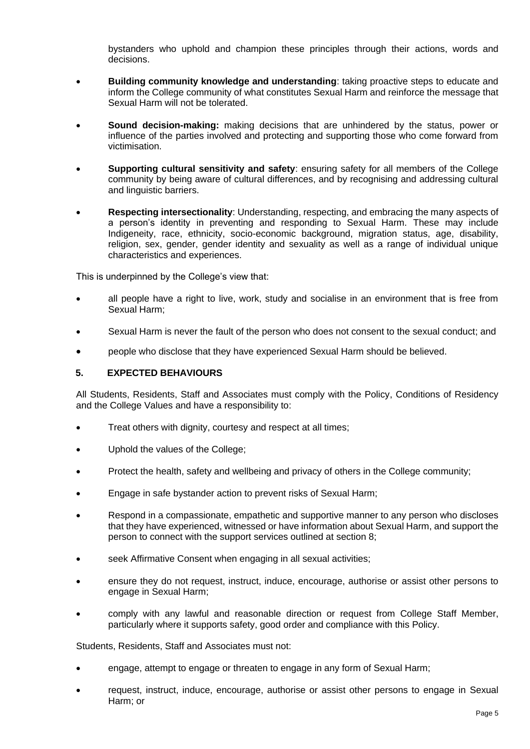bystanders who uphold and champion these principles through their actions, words and decisions.

- **Building community knowledge and understanding**: taking proactive steps to educate and inform the College community of what constitutes Sexual Harm and reinforce the message that Sexual Harm will not be tolerated.
- **Sound decision-making:** making decisions that are unhindered by the status, power or influence of the parties involved and protecting and supporting those who come forward from victimisation.
- **Supporting cultural sensitivity and safety**: ensuring safety for all members of the College community by being aware of cultural differences, and by recognising and addressing cultural and linguistic barriers.
- **Respecting intersectionality**: Understanding, respecting, and embracing the many aspects of a person's identity in preventing and responding to Sexual Harm. These may include Indigeneity, race, ethnicity, socio-economic background, migration status, age, disability, religion, sex, gender, gender identity and sexuality as well as a range of individual unique characteristics and experiences.

This is underpinned by the College's view that:

- all people have a right to live, work, study and socialise in an environment that is free from Sexual Harm;
- Sexual Harm is never the fault of the person who does not consent to the sexual conduct; and
- people who disclose that they have experienced Sexual Harm should be believed.

#### <span id="page-4-0"></span>**5. EXPECTED BEHAVIOURS**

All Students, Residents, Staff and Associates must comply with the Policy, Conditions of Residency and the College Values and have a responsibility to:

- Treat others with dignity, courtesy and respect at all times;
- Uphold the values of the College;
- Protect the health, safety and wellbeing and privacy of others in the College community;
- Engage in safe bystander action to prevent risks of Sexual Harm;
- Respond in a compassionate, empathetic and supportive manner to any person who discloses that they have experienced, witnessed or have information about Sexual Harm, and support the person to connect with the support services outlined at section [8;](#page-6-0)
- seek Affirmative Consent when engaging in all sexual activities;
- ensure they do not request, instruct, induce, encourage, authorise or assist other persons to engage in Sexual Harm;
- comply with any lawful and reasonable direction or request from College Staff Member, particularly where it supports safety, good order and compliance with this Policy.

Students, Residents, Staff and Associates must not:

- engage, attempt to engage or threaten to engage in any form of Sexual Harm;
- request, instruct, induce, encourage, authorise or assist other persons to engage in Sexual Harm; or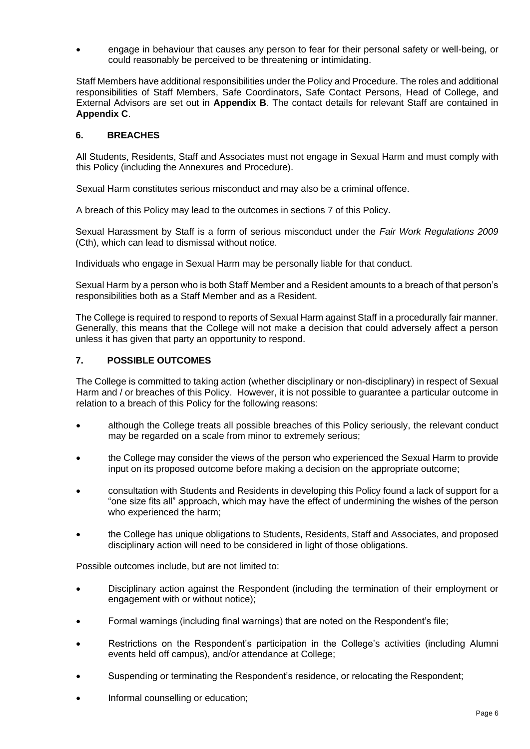• engage in behaviour that causes any person to fear for their personal safety or well-being, or could reasonably be perceived to be threatening or intimidating.

Staff Members have additional responsibilities under the Policy and Procedure. The roles and additional responsibilities of Staff Members, Safe Coordinators, Safe Contact Persons, Head of College, and External Advisors are set out in **Appendix B**. The contact details for relevant Staff are contained in **Appendix C**.

#### <span id="page-5-0"></span>**6. BREACHES**

All Students, Residents, Staff and Associates must not engage in Sexual Harm and must comply with this Policy (including the Annexures and Procedure).

Sexual Harm constitutes serious misconduct and may also be a criminal offence.

A breach of this Policy may lead to the outcomes in sections [7](#page-5-1) of this Policy.

Sexual Harassment by Staff is a form of serious misconduct under the *Fair Work Regulations 2009* (Cth), which can lead to dismissal without notice.

Individuals who engage in Sexual Harm may be personally liable for that conduct.

Sexual Harm by a person who is both Staff Member and a Resident amounts to a breach of that person's responsibilities both as a Staff Member and as a Resident.

The College is required to respond to reports of Sexual Harm against Staff in a procedurally fair manner. Generally, this means that the College will not make a decision that could adversely affect a person unless it has given that party an opportunity to respond.

#### <span id="page-5-1"></span>**7. POSSIBLE OUTCOMES**

The College is committed to taking action (whether disciplinary or non-disciplinary) in respect of Sexual Harm and / or breaches of this Policy. However, it is not possible to guarantee a particular outcome in relation to a breach of this Policy for the following reasons:

- although the College treats all possible breaches of this Policy seriously, the relevant conduct may be regarded on a scale from minor to extremely serious;
- the College may consider the views of the person who experienced the Sexual Harm to provide input on its proposed outcome before making a decision on the appropriate outcome;
- consultation with Students and Residents in developing this Policy found a lack of support for a "one size fits all" approach, which may have the effect of undermining the wishes of the person who experienced the harm;
- the College has unique obligations to Students, Residents, Staff and Associates, and proposed disciplinary action will need to be considered in light of those obligations.

Possible outcomes include, but are not limited to:

- Disciplinary action against the Respondent (including the termination of their employment or engagement with or without notice);
- Formal warnings (including final warnings) that are noted on the Respondent's file;
- Restrictions on the Respondent's participation in the College's activities (including Alumni events held off campus), and/or attendance at College;
- Suspending or terminating the Respondent's residence, or relocating the Respondent;
- Informal counselling or education;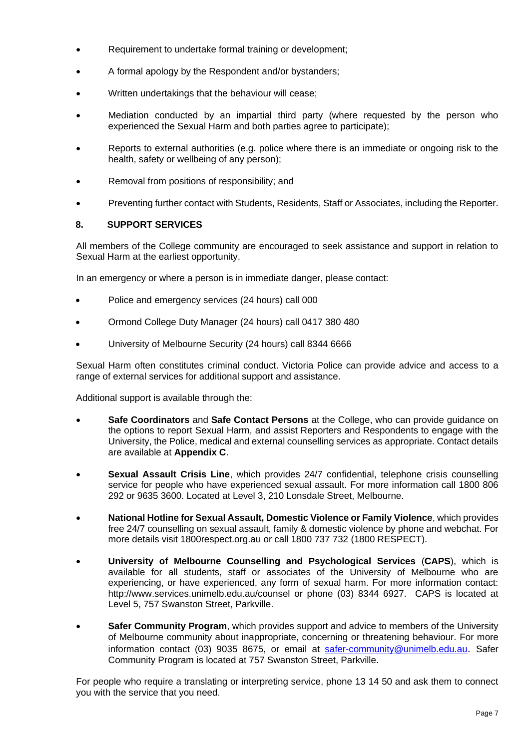- Requirement to undertake formal training or development;
- A formal apology by the Respondent and/or bystanders;
- Written undertakings that the behaviour will cease;
- Mediation conducted by an impartial third party (where requested by the person who experienced the Sexual Harm and both parties agree to participate);
- Reports to external authorities (e.g. police where there is an immediate or ongoing risk to the health, safety or wellbeing of any person);
- Removal from positions of responsibility; and
- Preventing further contact with Students, Residents, Staff or Associates, including the Reporter.

#### <span id="page-6-0"></span>**8. SUPPORT SERVICES**

All members of the College community are encouraged to seek assistance and support in relation to Sexual Harm at the earliest opportunity.

In an emergency or where a person is in immediate danger, please contact:

- Police and emergency services (24 hours) call 000
- Ormond College Duty Manager (24 hours) call 0417 380 480
- University of Melbourne Security (24 hours) call 8344 6666

Sexual Harm often constitutes criminal conduct. Victoria Police can provide advice and access to a range of external services for additional support and assistance.

Additional support is available through the:

- **Safe Coordinators** and **Safe Contact Persons** at the College, who can provide guidance on the options to report Sexual Harm, and assist Reporters and Respondents to engage with the University, the Police, medical and external counselling services as appropriate. Contact details are available at **Appendix C**.
- **Sexual Assault Crisis Line**, which provides 24/7 confidential, telephone crisis counselling service for people who have experienced sexual assault. For more information call 1800 806 292 or 9635 3600. Located at Level 3, 210 Lonsdale Street, Melbourne.
- **National Hotline for Sexual Assault, Domestic Violence or Family Violence**, which provides free 24/7 counselling on sexual assault, family & domestic violence by phone and webchat. For more details visit 1800respect.org.au or call 1800 737 732 (1800 RESPECT).
- **University of Melbourne Counselling and Psychological Services** (**CAPS**), which is available for all students, staff or associates of the University of Melbourne who are experiencing, or have experienced, any form of sexual harm. For more information contact: <http://www.services.unimelb.edu.au/counsel> or phone (03) 8344 6927. CAPS is located at Level 5, 757 Swanston Street, Parkville.
- **Safer Community Program**, which provides support and advice to members of the University of Melbourne community about inappropriate, concerning or threatening behaviour. For more information contact (03) 9035 8675, or email at [safer-community@unimelb.edu.au](mailto:safer-community@unimelb.edu.au). Safer Community Program is located at 757 Swanston Street, Parkville.

For people who require a translating or interpreting service, phone 13 14 50 and ask them to connect you with the service that you need.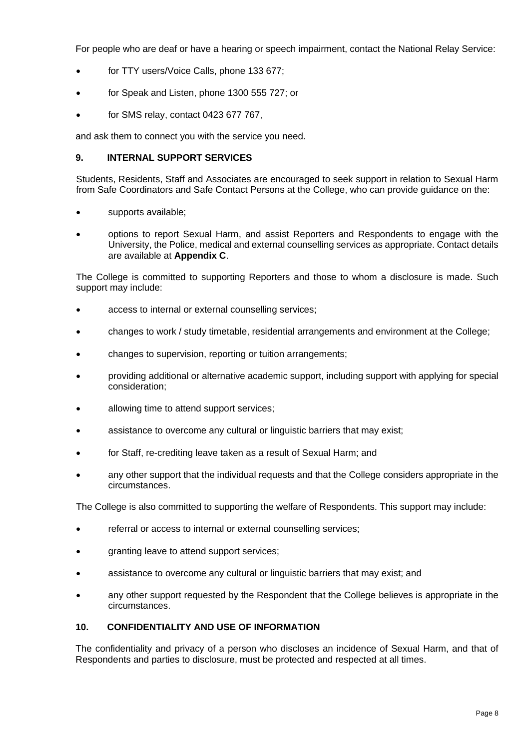For people who are deaf or have a hearing or speech impairment, contact the National Relay Service:

- for TTY users/Voice Calls, phone 133 677;
- for Speak and Listen, phone 1300 555 727; or
- for SMS relay, contact 0423 677 767,

and ask them to connect you with the service you need.

#### <span id="page-7-0"></span>**9. INTERNAL SUPPORT SERVICES**

Students, Residents, Staff and Associates are encouraged to seek support in relation to Sexual Harm from Safe Coordinators and Safe Contact Persons at the College, who can provide guidance on the:

- supports available;
- options to report Sexual Harm, and assist Reporters and Respondents to engage with the University, the Police, medical and external counselling services as appropriate. Contact details are available at **Appendix C**.

The College is committed to supporting Reporters and those to whom a disclosure is made. Such support may include:

- access to internal or external counselling services;
- changes to work / study timetable, residential arrangements and environment at the College;
- changes to supervision, reporting or tuition arrangements;
- providing additional or alternative academic support, including support with applying for special consideration;
- allowing time to attend support services;
- assistance to overcome any cultural or linguistic barriers that may exist;
- for Staff, re-crediting leave taken as a result of Sexual Harm; and
- any other support that the individual requests and that the College considers appropriate in the circumstances.

The College is also committed to supporting the welfare of Respondents. This support may include:

- referral or access to internal or external counselling services;
- granting leave to attend support services;
- assistance to overcome any cultural or linguistic barriers that may exist; and
- any other support requested by the Respondent that the College believes is appropriate in the circumstances.

#### <span id="page-7-1"></span>**10. CONFIDENTIALITY AND USE OF INFORMATION**

The confidentiality and privacy of a person who discloses an incidence of Sexual Harm, and that of Respondents and parties to disclosure, must be protected and respected at all times.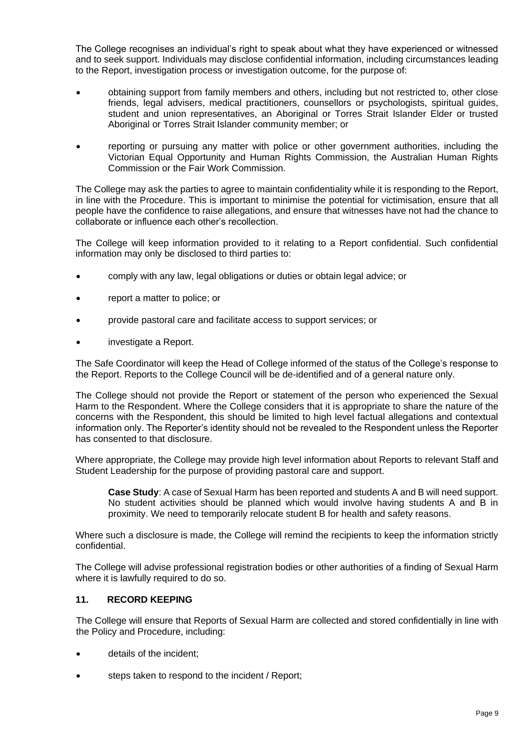The College recognises an individual's right to speak about what they have experienced or witnessed and to seek support. Individuals may disclose confidential information, including circumstances leading to the Report, investigation process or investigation outcome, for the purpose of:

- obtaining support from family members and others, including but not restricted to, other close friends, legal advisers, medical practitioners, counsellors or psychologists, spiritual guides, student and union representatives, an Aboriginal or Torres Strait Islander Elder or trusted Aboriginal or Torres Strait Islander community member; or
- reporting or pursuing any matter with police or other government authorities, including the Victorian Equal Opportunity and Human Rights Commission, the Australian Human Rights Commission or the Fair Work Commission.

The College may ask the parties to agree to maintain confidentiality while it is responding to the Report, in line with the Procedure. This is important to minimise the potential for victimisation, ensure that all people have the confidence to raise allegations, and ensure that witnesses have not had the chance to collaborate or influence each other's recollection.

The College will keep information provided to it relating to a Report confidential. Such confidential information may only be disclosed to third parties to:

- comply with any law, legal obligations or duties or obtain legal advice; or
- report a matter to police; or
- provide pastoral care and facilitate access to support services; or
- investigate a Report.

The Safe Coordinator will keep the Head of College informed of the status of the College's response to the Report. Reports to the College Council will be de-identified and of a general nature only.

The College should not provide the Report or statement of the person who experienced the Sexual Harm to the Respondent. Where the College considers that it is appropriate to share the nature of the concerns with the Respondent, this should be limited to high level factual allegations and contextual information only. The Reporter's identity should not be revealed to the Respondent unless the Reporter has consented to that disclosure.

Where appropriate, the College may provide high level information about Reports to relevant Staff and Student Leadership for the purpose of providing pastoral care and support.

**Case Study**: A case of Sexual Harm has been reported and students A and B will need support. No student activities should be planned which would involve having students A and B in proximity. We need to temporarily relocate student B for health and safety reasons.

Where such a disclosure is made, the College will remind the recipients to keep the information strictly confidential.

The College will advise professional registration bodies or other authorities of a finding of Sexual Harm where it is lawfully required to do so.

#### <span id="page-8-0"></span>**11. RECORD KEEPING**

The College will ensure that Reports of Sexual Harm are collected and stored confidentially in line with the Policy and Procedure, including:

- details of the incident;
- steps taken to respond to the incident / Report;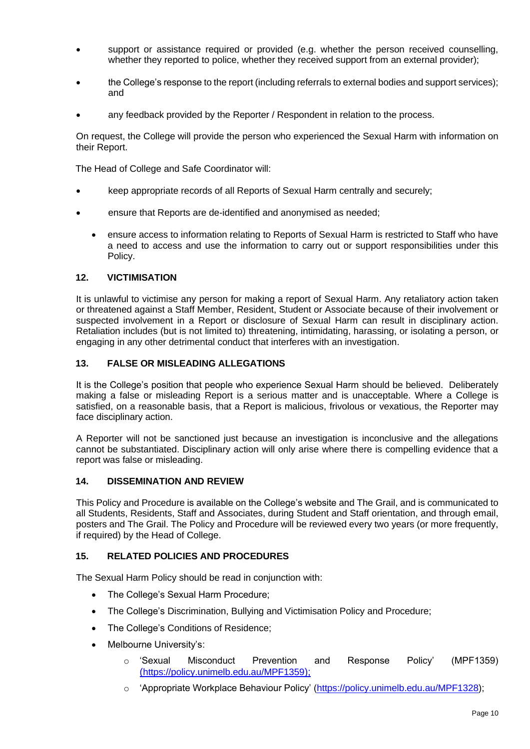- support or assistance required or provided (e.g. whether the person received counselling, whether they reported to police, whether they received support from an external provider);
- the College's response to the report (including referrals to external bodies and support services); and
- any feedback provided by the Reporter / Respondent in relation to the process.

On request, the College will provide the person who experienced the Sexual Harm with information on their Report.

The Head of College and Safe Coordinator will:

- keep appropriate records of all Reports of Sexual Harm centrally and securely;
- ensure that Reports are de-identified and anonymised as needed;
	- ensure access to information relating to Reports of Sexual Harm is restricted to Staff who have a need to access and use the information to carry out or support responsibilities under this Policy.

#### <span id="page-9-0"></span>**12. VICTIMISATION**

It is unlawful to victimise any person for making a report of Sexual Harm. Any retaliatory action taken or threatened against a Staff Member, Resident, Student or Associate because of their involvement or suspected involvement in a Report or disclosure of Sexual Harm can result in disciplinary action. Retaliation includes (but is not limited to) threatening, intimidating, harassing, or isolating a person, or engaging in any other detrimental conduct that interferes with an investigation.

#### <span id="page-9-1"></span>**13. FALSE OR MISLEADING ALLEGATIONS**

It is the College's position that people who experience Sexual Harm should be believed. Deliberately making a false or misleading Report is a serious matter and is unacceptable. Where a College is satisfied, on a reasonable basis, that a Report is malicious, frivolous or vexatious, the Reporter may face disciplinary action.

A Reporter will not be sanctioned just because an investigation is inconclusive and the allegations cannot be substantiated. Disciplinary action will only arise where there is compelling evidence that a report was false or misleading.

#### <span id="page-9-2"></span>**14. DISSEMINATION AND REVIEW**

This Policy and Procedure is available on the College's website and The Grail, and is communicated to all Students, Residents, Staff and Associates, during Student and Staff orientation, and through email, posters and The Grail. The Policy and Procedure will be reviewed every two years (or more frequently, if required) by the Head of College.

#### <span id="page-9-3"></span>**15. RELATED POLICIES AND PROCEDURES**

The Sexual Harm Policy should be read in conjunction with:

- The College's Sexual Harm Procedure;
- The College's Discrimination, Bullying and Victimisation Policy and Procedure;
- The College's Conditions of Residence;
- Melbourne University's:
	- o 'Sexual Misconduct Prevention and Response Policy' (MPF1359) (<https://policy.unimelb.edu.au/MPF1359>);
	- o 'Appropriate Workplace Behaviour Policy' [\(https://policy.unimelb.edu.au/MPF1328\)](https://policy.unimelb.edu.au/MPF1328);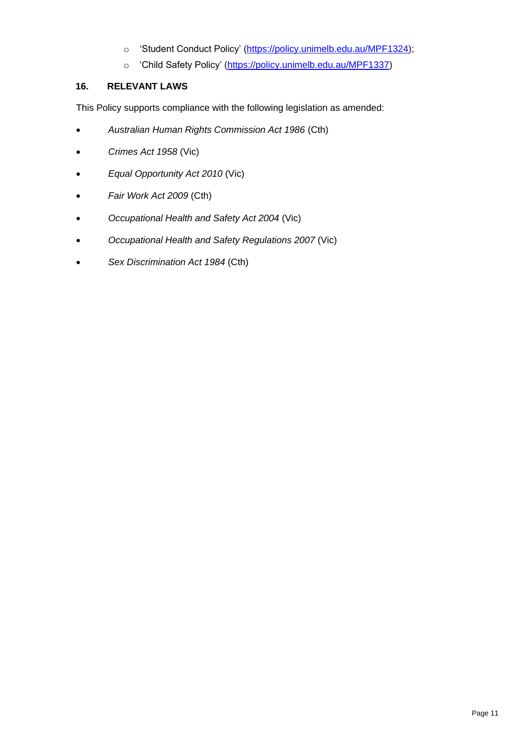- o 'Student Conduct Policy' [\(https://policy.unimelb.edu.au/MPF1324\)](https://policy.unimelb.edu.au/MPF1324);
- o 'Child Safety Policy' [\(https://policy.unimelb.edu.au/MPF1337\)](https://policy.unimelb.edu.au/MPF1337)

#### <span id="page-10-0"></span>**16. RELEVANT LAWS**

This Policy supports compliance with the following legislation as amended:

- *Australian Human Rights Commission Act 1986* (Cth)
- *Crimes Act 1958* (Vic)
- *Equal Opportunity Act 2010* (Vic)
- *Fair Work Act 2009* (Cth)
- *Occupational Health and Safety Act 2004* (Vic)
- *Occupational Health and Safety Regulations 2007* (Vic)
- *Sex Discrimination Act 1984* (Cth)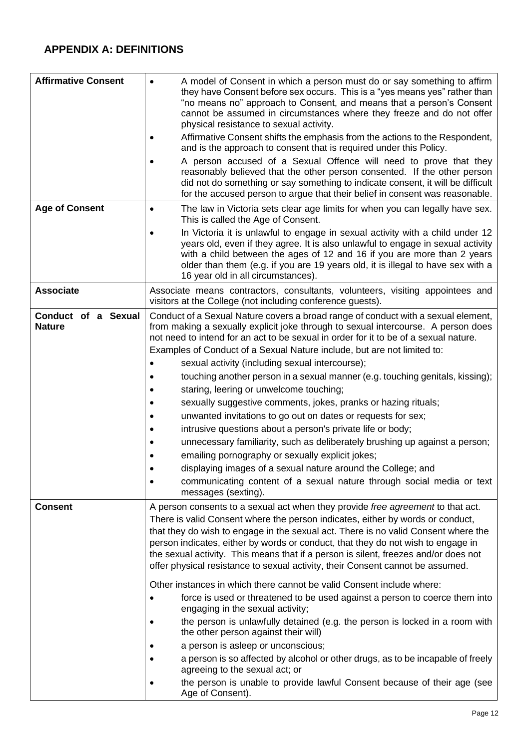## **APPENDIX A: DEFINITIONS**

| <b>Affirmative Consent</b><br><b>Age of Consent</b> | A model of Consent in which a person must do or say something to affirm<br>$\bullet$<br>they have Consent before sex occurs. This is a "yes means yes" rather than<br>"no means no" approach to Consent, and means that a person's Consent<br>cannot be assumed in circumstances where they freeze and do not offer<br>physical resistance to sexual activity.<br>Affirmative Consent shifts the emphasis from the actions to the Respondent,<br>and is the approach to consent that is required under this Policy.<br>A person accused of a Sexual Offence will need to prove that they<br>$\bullet$<br>reasonably believed that the other person consented. If the other person<br>did not do something or say something to indicate consent, it will be difficult<br>for the accused person to argue that their belief in consent was reasonable.<br>The law in Victoria sets clear age limits for when you can legally have sex.<br>$\bullet$                                                                                                                                                       |
|-----------------------------------------------------|---------------------------------------------------------------------------------------------------------------------------------------------------------------------------------------------------------------------------------------------------------------------------------------------------------------------------------------------------------------------------------------------------------------------------------------------------------------------------------------------------------------------------------------------------------------------------------------------------------------------------------------------------------------------------------------------------------------------------------------------------------------------------------------------------------------------------------------------------------------------------------------------------------------------------------------------------------------------------------------------------------------------------------------------------------------------------------------------------------|
|                                                     | This is called the Age of Consent.<br>In Victoria it is unlawful to engage in sexual activity with a child under 12<br>years old, even if they agree. It is also unlawful to engage in sexual activity<br>with a child between the ages of 12 and 16 if you are more than 2 years<br>older than them (e.g. if you are 19 years old, it is illegal to have sex with a<br>16 year old in all circumstances).                                                                                                                                                                                                                                                                                                                                                                                                                                                                                                                                                                                                                                                                                              |
| <b>Associate</b>                                    | Associate means contractors, consultants, volunteers, visiting appointees and<br>visitors at the College (not including conference guests).                                                                                                                                                                                                                                                                                                                                                                                                                                                                                                                                                                                                                                                                                                                                                                                                                                                                                                                                                             |
| Conduct of a Sexual<br><b>Nature</b>                | Conduct of a Sexual Nature covers a broad range of conduct with a sexual element,<br>from making a sexually explicit joke through to sexual intercourse. A person does<br>not need to intend for an act to be sexual in order for it to be of a sexual nature.<br>Examples of Conduct of a Sexual Nature include, but are not limited to:<br>sexual activity (including sexual intercourse);<br>touching another person in a sexual manner (e.g. touching genitals, kissing);<br>staring, leering or unwelcome touching;<br>sexually suggestive comments, jokes, pranks or hazing rituals;<br>unwanted invitations to go out on dates or requests for sex;<br>intrusive questions about a person's private life or body;<br>unnecessary familiarity, such as deliberately brushing up against a person;<br>emailing pornography or sexually explicit jokes;<br>displaying images of a sexual nature around the College; and<br>communicating content of a sexual nature through social media or text<br>$\bullet$<br>messages (sexting).                                                                |
| <b>Consent</b>                                      | A person consents to a sexual act when they provide free agreement to that act.<br>There is valid Consent where the person indicates, either by words or conduct,<br>that they do wish to engage in the sexual act. There is no valid Consent where the<br>person indicates, either by words or conduct, that they do not wish to engage in<br>the sexual activity. This means that if a person is silent, freezes and/or does not<br>offer physical resistance to sexual activity, their Consent cannot be assumed.<br>Other instances in which there cannot be valid Consent include where:<br>force is used or threatened to be used against a person to coerce them into<br>engaging in the sexual activity;<br>the person is unlawfully detained (e.g. the person is locked in a room with<br>the other person against their will)<br>a person is asleep or unconscious;<br>a person is so affected by alcohol or other drugs, as to be incapable of freely<br>agreeing to the sexual act; or<br>the person is unable to provide lawful Consent because of their age (see<br>٠<br>Age of Consent). |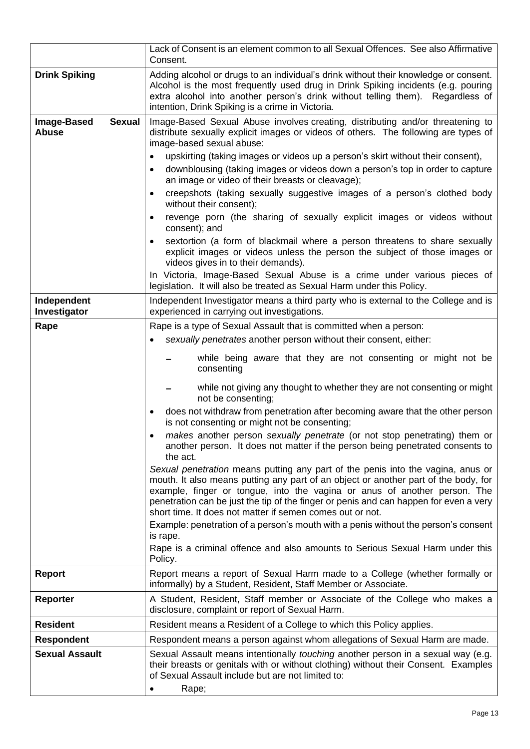|                                                     | Lack of Consent is an element common to all Sexual Offences. See also Affirmative<br>Consent.                                                                                                                                                                                                                                                                                                                                                                                                                                                                                                                                                                                                                                                                                                                                                                                                                                                                                                                                                                                                                                                                                                                                                                |
|-----------------------------------------------------|--------------------------------------------------------------------------------------------------------------------------------------------------------------------------------------------------------------------------------------------------------------------------------------------------------------------------------------------------------------------------------------------------------------------------------------------------------------------------------------------------------------------------------------------------------------------------------------------------------------------------------------------------------------------------------------------------------------------------------------------------------------------------------------------------------------------------------------------------------------------------------------------------------------------------------------------------------------------------------------------------------------------------------------------------------------------------------------------------------------------------------------------------------------------------------------------------------------------------------------------------------------|
| <b>Drink Spiking</b>                                | Adding alcohol or drugs to an individual's drink without their knowledge or consent.<br>Alcohol is the most frequently used drug in Drink Spiking incidents (e.g. pouring<br>extra alcohol into another person's drink without telling them). Regardless of<br>intention, Drink Spiking is a crime in Victoria.                                                                                                                                                                                                                                                                                                                                                                                                                                                                                                                                                                                                                                                                                                                                                                                                                                                                                                                                              |
| <b>Sexual</b><br><b>Image-Based</b><br><b>Abuse</b> | Image-Based Sexual Abuse involves creating, distributing and/or threatening to<br>distribute sexually explicit images or videos of others. The following are types of<br>image-based sexual abuse:<br>upskirting (taking images or videos up a person's skirt without their consent),<br>$\bullet$<br>downblousing (taking images or videos down a person's top in order to capture<br>$\bullet$<br>an image or video of their breasts or cleavage);<br>creepshots (taking sexually suggestive images of a person's clothed body<br>$\bullet$<br>without their consent);<br>revenge porn (the sharing of sexually explicit images or videos without<br>$\bullet$<br>consent); and<br>sextortion (a form of blackmail where a person threatens to share sexually<br>$\bullet$                                                                                                                                                                                                                                                                                                                                                                                                                                                                                 |
|                                                     | explicit images or videos unless the person the subject of those images or<br>videos gives in to their demands).<br>In Victoria, Image-Based Sexual Abuse is a crime under various pieces of<br>legislation. It will also be treated as Sexual Harm under this Policy.                                                                                                                                                                                                                                                                                                                                                                                                                                                                                                                                                                                                                                                                                                                                                                                                                                                                                                                                                                                       |
| Independent<br>Investigator                         | Independent Investigator means a third party who is external to the College and is<br>experienced in carrying out investigations.                                                                                                                                                                                                                                                                                                                                                                                                                                                                                                                                                                                                                                                                                                                                                                                                                                                                                                                                                                                                                                                                                                                            |
| Rape                                                | Rape is a type of Sexual Assault that is committed when a person:<br>sexually penetrates another person without their consent, either:<br>while being aware that they are not consenting or might not be<br>consenting<br>while not giving any thought to whether they are not consenting or might<br>not be consenting;<br>does not withdraw from penetration after becoming aware that the other person<br>$\bullet$<br>is not consenting or might not be consenting;<br>makes another person sexually penetrate (or not stop penetrating) them or<br>another person. It does not matter if the person being penetrated consents to<br>the act.<br>Sexual penetration means putting any part of the penis into the vagina, anus or<br>mouth. It also means putting any part of an object or another part of the body, for<br>example, finger or tongue, into the vagina or anus of another person. The<br>penetration can be just the tip of the finger or penis and can happen for even a very<br>short time. It does not matter if semen comes out or not.<br>Example: penetration of a person's mouth with a penis without the person's consent<br>is rape.<br>Rape is a criminal offence and also amounts to Serious Sexual Harm under this<br>Policy. |
| <b>Report</b>                                       | Report means a report of Sexual Harm made to a College (whether formally or<br>informally) by a Student, Resident, Staff Member or Associate.                                                                                                                                                                                                                                                                                                                                                                                                                                                                                                                                                                                                                                                                                                                                                                                                                                                                                                                                                                                                                                                                                                                |
| <b>Reporter</b>                                     | A Student, Resident, Staff member or Associate of the College who makes a<br>disclosure, complaint or report of Sexual Harm.                                                                                                                                                                                                                                                                                                                                                                                                                                                                                                                                                                                                                                                                                                                                                                                                                                                                                                                                                                                                                                                                                                                                 |
| <b>Resident</b>                                     | Resident means a Resident of a College to which this Policy applies.                                                                                                                                                                                                                                                                                                                                                                                                                                                                                                                                                                                                                                                                                                                                                                                                                                                                                                                                                                                                                                                                                                                                                                                         |
| <b>Respondent</b>                                   | Respondent means a person against whom allegations of Sexual Harm are made.                                                                                                                                                                                                                                                                                                                                                                                                                                                                                                                                                                                                                                                                                                                                                                                                                                                                                                                                                                                                                                                                                                                                                                                  |
| <b>Sexual Assault</b>                               | Sexual Assault means intentionally touching another person in a sexual way (e.g.<br>their breasts or genitals with or without clothing) without their Consent. Examples<br>of Sexual Assault include but are not limited to:<br>Rape;<br>$\bullet$                                                                                                                                                                                                                                                                                                                                                                                                                                                                                                                                                                                                                                                                                                                                                                                                                                                                                                                                                                                                           |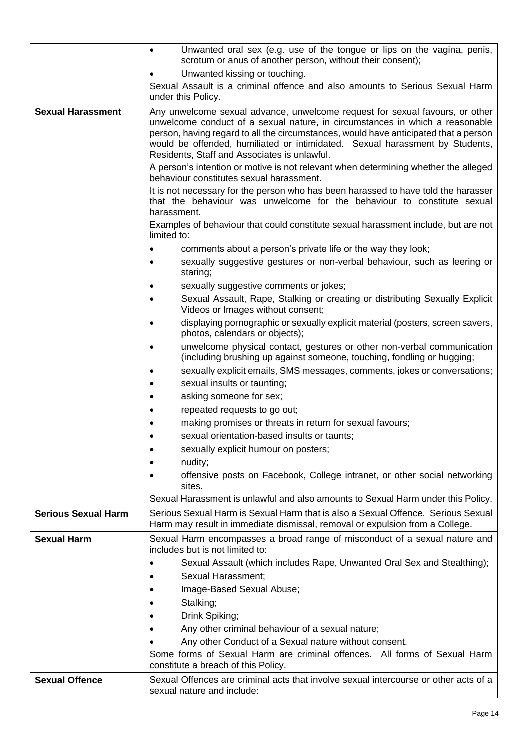|                            | Unwanted oral sex (e.g. use of the tongue or lips on the vagina, penis,<br>$\bullet$<br>scrotum or anus of another person, without their consent);                                                                                                                                                                                                                                   |
|----------------------------|--------------------------------------------------------------------------------------------------------------------------------------------------------------------------------------------------------------------------------------------------------------------------------------------------------------------------------------------------------------------------------------|
|                            | Unwanted kissing or touching.                                                                                                                                                                                                                                                                                                                                                        |
|                            | Sexual Assault is a criminal offence and also amounts to Serious Sexual Harm                                                                                                                                                                                                                                                                                                         |
|                            | under this Policy.                                                                                                                                                                                                                                                                                                                                                                   |
| <b>Sexual Harassment</b>   | Any unwelcome sexual advance, unwelcome request for sexual favours, or other<br>unwelcome conduct of a sexual nature, in circumstances in which a reasonable<br>person, having regard to all the circumstances, would have anticipated that a person<br>would be offended, humiliated or intimidated. Sexual harassment by Students,<br>Residents, Staff and Associates is unlawful. |
|                            | A person's intention or motive is not relevant when determining whether the alleged<br>behaviour constitutes sexual harassment.                                                                                                                                                                                                                                                      |
|                            | It is not necessary for the person who has been harassed to have told the harasser<br>that the behaviour was unwelcome for the behaviour to constitute sexual<br>harassment.                                                                                                                                                                                                         |
|                            | Examples of behaviour that could constitute sexual harassment include, but are not<br>limited to:                                                                                                                                                                                                                                                                                    |
|                            | comments about a person's private life or the way they look;                                                                                                                                                                                                                                                                                                                         |
|                            | sexually suggestive gestures or non-verbal behaviour, such as leering or<br>staring;                                                                                                                                                                                                                                                                                                 |
|                            | sexually suggestive comments or jokes;                                                                                                                                                                                                                                                                                                                                               |
|                            | Sexual Assault, Rape, Stalking or creating or distributing Sexually Explicit<br>٠<br>Videos or Images without consent;                                                                                                                                                                                                                                                               |
|                            | displaying pornographic or sexually explicit material (posters, screen savers,<br>$\bullet$<br>photos, calendars or objects);                                                                                                                                                                                                                                                        |
|                            | unwelcome physical contact, gestures or other non-verbal communication<br>٠<br>(including brushing up against someone, touching, fondling or hugging;                                                                                                                                                                                                                                |
|                            | sexually explicit emails, SMS messages, comments, jokes or conversations;<br>$\bullet$                                                                                                                                                                                                                                                                                               |
|                            | sexual insults or taunting;                                                                                                                                                                                                                                                                                                                                                          |
|                            | asking someone for sex;                                                                                                                                                                                                                                                                                                                                                              |
|                            | repeated requests to go out;                                                                                                                                                                                                                                                                                                                                                         |
|                            | making promises or threats in return for sexual favours;                                                                                                                                                                                                                                                                                                                             |
|                            | sexual orientation-based insults or taunts;                                                                                                                                                                                                                                                                                                                                          |
|                            | sexually explicit humour on posters;<br>$\bullet$                                                                                                                                                                                                                                                                                                                                    |
|                            | nudity;<br>$\bullet$                                                                                                                                                                                                                                                                                                                                                                 |
|                            | offensive posts on Facebook, College intranet, or other social networking<br>sites.                                                                                                                                                                                                                                                                                                  |
|                            | Sexual Harassment is unlawful and also amounts to Sexual Harm under this Policy.                                                                                                                                                                                                                                                                                                     |
| <b>Serious Sexual Harm</b> | Serious Sexual Harm is Sexual Harm that is also a Sexual Offence. Serious Sexual<br>Harm may result in immediate dismissal, removal or expulsion from a College.                                                                                                                                                                                                                     |
| <b>Sexual Harm</b>         | Sexual Harm encompasses a broad range of misconduct of a sexual nature and<br>includes but is not limited to:                                                                                                                                                                                                                                                                        |
|                            | Sexual Assault (which includes Rape, Unwanted Oral Sex and Stealthing);                                                                                                                                                                                                                                                                                                              |
|                            | Sexual Harassment;                                                                                                                                                                                                                                                                                                                                                                   |
|                            | Image-Based Sexual Abuse;                                                                                                                                                                                                                                                                                                                                                            |
|                            | Stalking;                                                                                                                                                                                                                                                                                                                                                                            |
|                            | Drink Spiking;                                                                                                                                                                                                                                                                                                                                                                       |
|                            | Any other criminal behaviour of a sexual nature;                                                                                                                                                                                                                                                                                                                                     |
|                            | Any other Conduct of a Sexual nature without consent.                                                                                                                                                                                                                                                                                                                                |
|                            | Some forms of Sexual Harm are criminal offences. All forms of Sexual Harm<br>constitute a breach of this Policy.                                                                                                                                                                                                                                                                     |
| <b>Sexual Offence</b>      | Sexual Offences are criminal acts that involve sexual intercourse or other acts of a<br>sexual nature and include:                                                                                                                                                                                                                                                                   |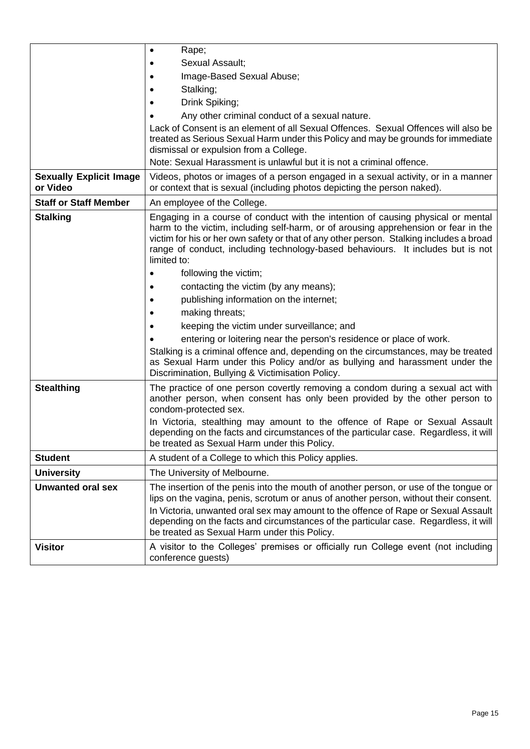|                                            | Rape;<br>$\bullet$                                                                                                                                                                                                                                                                                                                                                                                                                                                                                                                                                                                                                                                                                                                                                                                                                                  |
|--------------------------------------------|-----------------------------------------------------------------------------------------------------------------------------------------------------------------------------------------------------------------------------------------------------------------------------------------------------------------------------------------------------------------------------------------------------------------------------------------------------------------------------------------------------------------------------------------------------------------------------------------------------------------------------------------------------------------------------------------------------------------------------------------------------------------------------------------------------------------------------------------------------|
|                                            | Sexual Assault;                                                                                                                                                                                                                                                                                                                                                                                                                                                                                                                                                                                                                                                                                                                                                                                                                                     |
|                                            | Image-Based Sexual Abuse;                                                                                                                                                                                                                                                                                                                                                                                                                                                                                                                                                                                                                                                                                                                                                                                                                           |
|                                            | Stalking;                                                                                                                                                                                                                                                                                                                                                                                                                                                                                                                                                                                                                                                                                                                                                                                                                                           |
|                                            | Drink Spiking;                                                                                                                                                                                                                                                                                                                                                                                                                                                                                                                                                                                                                                                                                                                                                                                                                                      |
|                                            | Any other criminal conduct of a sexual nature.                                                                                                                                                                                                                                                                                                                                                                                                                                                                                                                                                                                                                                                                                                                                                                                                      |
|                                            | Lack of Consent is an element of all Sexual Offences. Sexual Offences will also be<br>treated as Serious Sexual Harm under this Policy and may be grounds for immediate<br>dismissal or expulsion from a College.                                                                                                                                                                                                                                                                                                                                                                                                                                                                                                                                                                                                                                   |
|                                            | Note: Sexual Harassment is unlawful but it is not a criminal offence.                                                                                                                                                                                                                                                                                                                                                                                                                                                                                                                                                                                                                                                                                                                                                                               |
| <b>Sexually Explicit Image</b><br>or Video | Videos, photos or images of a person engaged in a sexual activity, or in a manner<br>or context that is sexual (including photos depicting the person naked).                                                                                                                                                                                                                                                                                                                                                                                                                                                                                                                                                                                                                                                                                       |
| <b>Staff or Staff Member</b>               | An employee of the College.                                                                                                                                                                                                                                                                                                                                                                                                                                                                                                                                                                                                                                                                                                                                                                                                                         |
| <b>Stalking</b>                            | Engaging in a course of conduct with the intention of causing physical or mental<br>harm to the victim, including self-harm, or of arousing apprehension or fear in the<br>victim for his or her own safety or that of any other person. Stalking includes a broad<br>range of conduct, including technology-based behaviours. It includes but is not<br>limited to:<br>following the victim;<br>contacting the victim (by any means);<br>publishing information on the internet;<br>making threats;<br>keeping the victim under surveillance; and<br>entering or loitering near the person's residence or place of work.<br>Stalking is a criminal offence and, depending on the circumstances, may be treated<br>as Sexual Harm under this Policy and/or as bullying and harassment under the<br>Discrimination, Bullying & Victimisation Policy. |
| <b>Stealthing</b>                          | The practice of one person covertly removing a condom during a sexual act with<br>another person, when consent has only been provided by the other person to<br>condom-protected sex.                                                                                                                                                                                                                                                                                                                                                                                                                                                                                                                                                                                                                                                               |
|                                            | In Victoria, stealthing may amount to the offence of Rape or Sexual Assault<br>depending on the facts and circumstances of the particular case. Regardless, it will<br>be treated as Sexual Harm under this Policy.                                                                                                                                                                                                                                                                                                                                                                                                                                                                                                                                                                                                                                 |
| <b>Student</b>                             | A student of a College to which this Policy applies.                                                                                                                                                                                                                                                                                                                                                                                                                                                                                                                                                                                                                                                                                                                                                                                                |
| <b>University</b>                          | The University of Melbourne.                                                                                                                                                                                                                                                                                                                                                                                                                                                                                                                                                                                                                                                                                                                                                                                                                        |
| <b>Unwanted oral sex</b>                   | The insertion of the penis into the mouth of another person, or use of the tongue or<br>lips on the vagina, penis, scrotum or anus of another person, without their consent.<br>In Victoria, unwanted oral sex may amount to the offence of Rape or Sexual Assault<br>depending on the facts and circumstances of the particular case. Regardless, it will                                                                                                                                                                                                                                                                                                                                                                                                                                                                                          |
|                                            | be treated as Sexual Harm under this Policy.                                                                                                                                                                                                                                                                                                                                                                                                                                                                                                                                                                                                                                                                                                                                                                                                        |
| <b>Visitor</b>                             | A visitor to the Colleges' premises or officially run College event (not including<br>conference guests)                                                                                                                                                                                                                                                                                                                                                                                                                                                                                                                                                                                                                                                                                                                                            |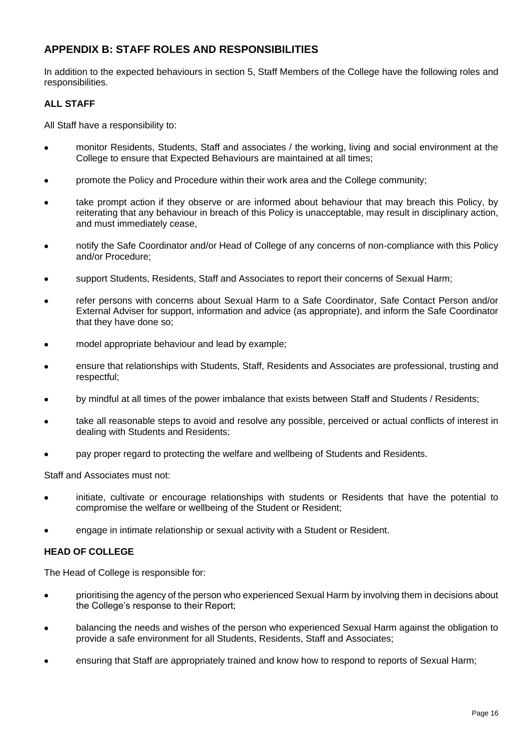### **APPENDIX B: STAFF ROLES AND RESPONSIBILITIES**

In addition to the expected behaviours in section [5,](#page-4-0) Staff Members of the College have the following roles and responsibilities.

#### **ALL STAFF**

All Staff have a responsibility to:

- monitor Residents, Students, Staff and associates / the working, living and social environment at the College to ensure that Expected Behaviours are maintained at all times;
- promote the Policy and Procedure within their work area and the College community;
- take prompt action if they observe or are informed about behaviour that may breach this Policy, by reiterating that any behaviour in breach of this Policy is unacceptable, may result in disciplinary action, and must immediately cease,
- notify the Safe Coordinator and/or Head of College of any concerns of non-compliance with this Policy and/or Procedure;
- support Students, Residents, Staff and Associates to report their concerns of Sexual Harm;
- refer persons with concerns about Sexual Harm to a Safe Coordinator, Safe Contact Person and/or External Adviser for support, information and advice (as appropriate), and inform the Safe Coordinator that they have done so;
- model appropriate behaviour and lead by example;
- ensure that relationships with Students, Staff, Residents and Associates are professional, trusting and respectful;
- by mindful at all times of the power imbalance that exists between Staff and Students / Residents;
- take all reasonable steps to avoid and resolve any possible, perceived or actual conflicts of interest in dealing with Students and Residents;
- pay proper regard to protecting the welfare and wellbeing of Students and Residents.

Staff and Associates must not:

- initiate, cultivate or encourage relationships with students or Residents that have the potential to compromise the welfare or wellbeing of the Student or Resident;
- engage in intimate relationship or sexual activity with a Student or Resident.

#### **HEAD OF COLLEGE**

The Head of College is responsible for:

- prioritising the agency of the person who experienced Sexual Harm by involving them in decisions about the College's response to their Report;
- balancing the needs and wishes of the person who experienced Sexual Harm against the obligation to provide a safe environment for all Students, Residents, Staff and Associates;
- ensuring that Staff are appropriately trained and know how to respond to reports of Sexual Harm;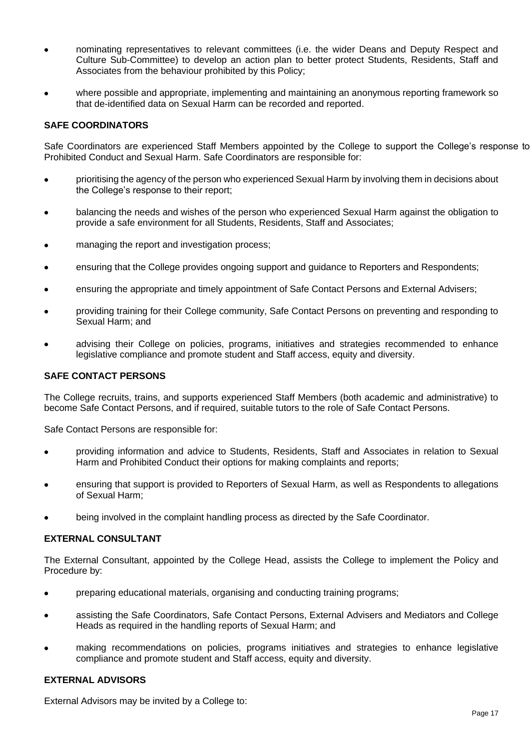- nominating representatives to relevant committees (i.e. the wider Deans and Deputy Respect and Culture Sub-Committee) to develop an action plan to better protect Students, Residents, Staff and Associates from the behaviour prohibited by this Policy;
- where possible and appropriate, implementing and maintaining an anonymous reporting framework so that de-identified data on Sexual Harm can be recorded and reported.

#### **SAFE COORDINATORS**

Safe Coordinators are experienced Staff Members appointed by the College to support the College's response to Prohibited Conduct and Sexual Harm. Safe Coordinators are responsible for:

- prioritising the agency of the person who experienced Sexual Harm by involving them in decisions about the College's response to their report;
- balancing the needs and wishes of the person who experienced Sexual Harm against the obligation to provide a safe environment for all Students, Residents, Staff and Associates;
- managing the report and investigation process;
- ensuring that the College provides ongoing support and guidance to Reporters and Respondents;
- ensuring the appropriate and timely appointment of Safe Contact Persons and External Advisers;
- providing training for their College community, Safe Contact Persons on preventing and responding to Sexual Harm; and
- advising their College on policies, programs, initiatives and strategies recommended to enhance legislative compliance and promote student and Staff access, equity and diversity.

#### **SAFE CONTACT PERSONS**

The College recruits, trains, and supports experienced Staff Members (both academic and administrative) to become Safe Contact Persons, and if required, suitable tutors to the role of Safe Contact Persons.

Safe Contact Persons are responsible for:

- providing information and advice to Students, Residents, Staff and Associates in relation to Sexual Harm and Prohibited Conduct their options for making complaints and reports;
- ensuring that support is provided to Reporters of Sexual Harm, as well as Respondents to allegations of Sexual Harm;
- being involved in the complaint handling process as directed by the Safe Coordinator.

#### **EXTERNAL CONSULTANT**

The External Consultant, appointed by the College Head, assists the College to implement the Policy and Procedure by:

- preparing educational materials, organising and conducting training programs;
- assisting the Safe Coordinators, Safe Contact Persons, External Advisers and Mediators and College Heads as required in the handling reports of Sexual Harm; and
- making recommendations on policies, programs initiatives and strategies to enhance legislative compliance and promote student and Staff access, equity and diversity.

#### **EXTERNAL ADVISORS**

External Advisors may be invited by a College to: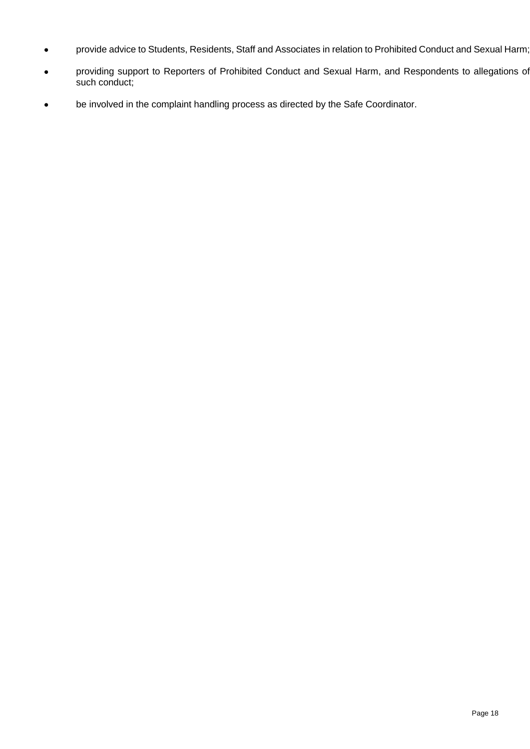- provide advice to Students, Residents, Staff and Associates in relation to Prohibited Conduct and Sexual Harm;
- providing support to Reporters of Prohibited Conduct and Sexual Harm, and Respondents to allegations of such conduct;
- be involved in the complaint handling process as directed by the Safe Coordinator.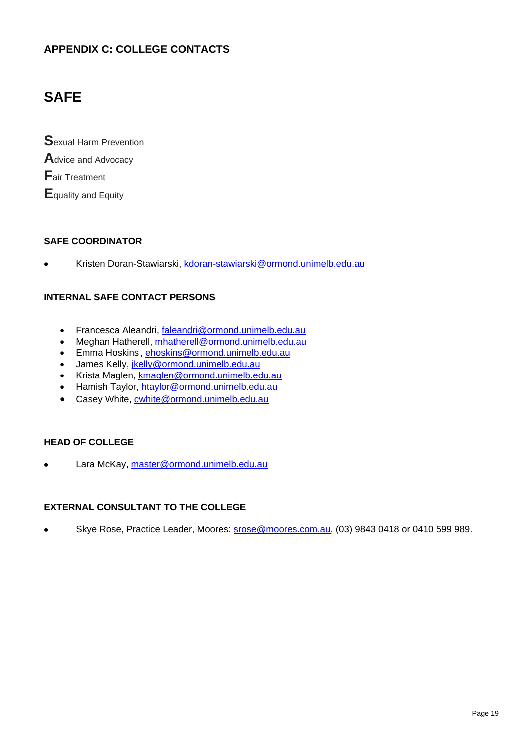### **APPENDIX C: COLLEGE CONTACTS**

## **SAFE**

**S**exual Harm Prevention **A**dvice and Advocacy **F**air Treatment **E**quality and Equity

#### **SAFE COORDINATOR**

• Kristen Doran-Stawiarski, [kdoran-stawiarski@ormond.unimelb.edu.au](mailto:kdoran-stawiarski@ormond.unimelb.edu.au)

#### **INTERNAL SAFE CONTACT PERSONS**

- Francesca Aleandri, [faleandri@ormond.unimelb.edu.au](mailto:faleandri@ormond.unimelb.edu.au)
- Meghan Hatherell, [mhatherell@ormond.unimelb.edu.au](mailto:mhatherell@ormond.unimelb.edu.au)
- Emma Hoskins , [ehoskins@ormond.unimelb.edu.au](mailto:ehoskins@ormond.unimelb.edu.au)
- James Kelly, [jkelly@ormond.unimelb.edu.au](mailto:jkelly@ormond.unimelb.edu.au)
- Krista Maglen, [kmaglen@ormond.unimelb.edu.au](mailto:kmaglen@ormond.unimelb.edu.au)
- Hamish Taylor, [htaylor@ormond.unimelb.edu.au](mailto:htaylor@ormond.unimelb.edu.au)
- Casey White, [cwhite@ormond.unimelb.edu.au](mailto:cwhite@ormond.unimelb.edu.au)

#### **HEAD OF COLLEGE**

• Lara McKay, [master@ormond.unimelb.edu.au](mailto:master@ormond.unimelb.edu.au)

#### **EXTERNAL CONSULTANT TO THE COLLEGE**

• Skye Rose, Practice Leader, Moores: [srose@moores.com.au,](mailto:srose@moores.com.au) (03) 9843 0418 or 0410 599 989.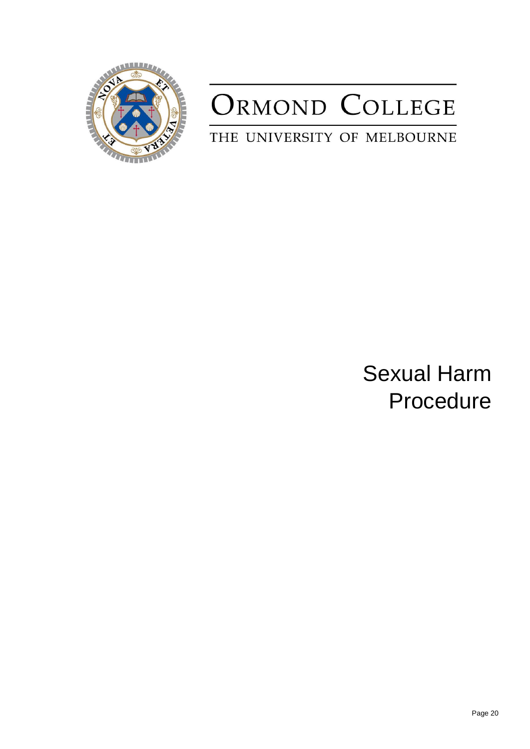

# ORMOND COLLEGE

THE UNIVERSITY OF MELBOURNE

Sexual Harm Procedure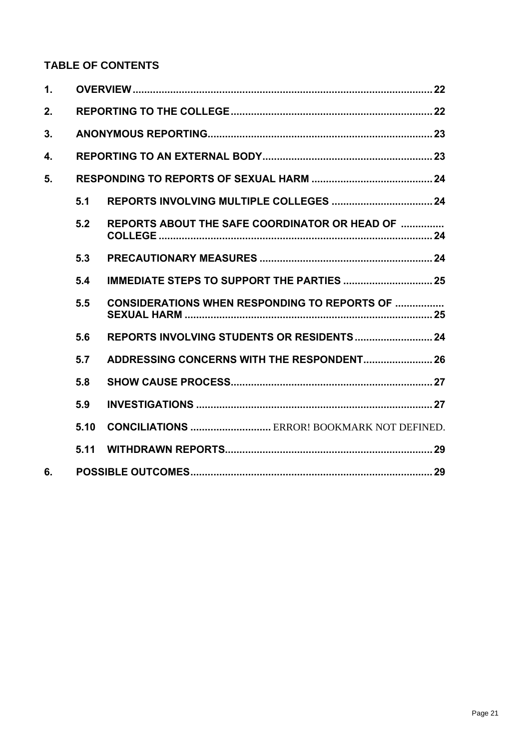## **TABLE OF CONTENTS**

| $\mathbf 1$ . |      |                                                       |  |  |
|---------------|------|-------------------------------------------------------|--|--|
| 2.            |      |                                                       |  |  |
| 3.            |      |                                                       |  |  |
| 4.            |      |                                                       |  |  |
| 5.            |      |                                                       |  |  |
|               | 5.1  |                                                       |  |  |
|               | 5.2  | <b>REPORTS ABOUT THE SAFE COORDINATOR OR HEAD OF </b> |  |  |
|               | 5.3  |                                                       |  |  |
|               | 5.4  | <b>IMMEDIATE STEPS TO SUPPORT THE PARTIES  25</b>     |  |  |
|               | 5.5  | <b>CONSIDERATIONS WHEN RESPONDING TO REPORTS OF </b>  |  |  |
|               | 5.6  |                                                       |  |  |
|               | 5.7  | ADDRESSING CONCERNS WITH THE RESPONDENT 26            |  |  |
|               | 5.8  |                                                       |  |  |
|               | 5.9  |                                                       |  |  |
|               | 5.10 | <b>CONCILIATIONS  ERROR! BOOKMARK NOT DEFINED.</b>    |  |  |
|               | 5.11 |                                                       |  |  |
| 6.            |      |                                                       |  |  |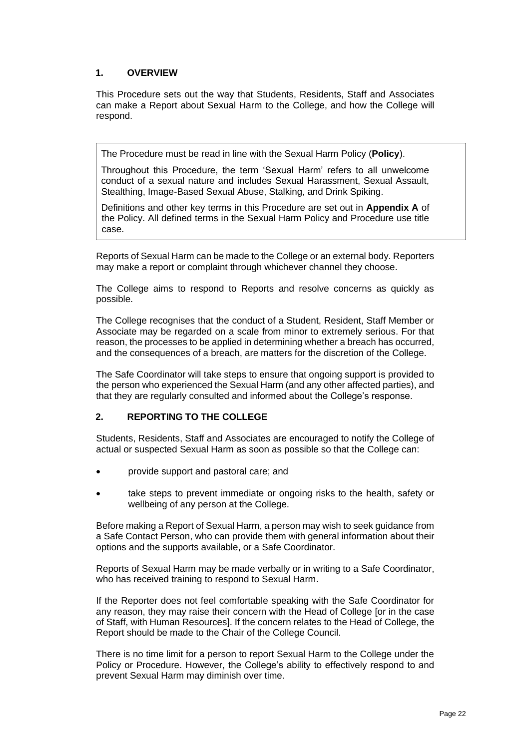#### <span id="page-21-0"></span>**1. OVERVIEW**

This Procedure sets out the way that Students, Residents, Staff and Associates can make a Report about Sexual Harm to the College, and how the College will respond.

The Procedure must be read in line with the Sexual Harm Policy (**Policy**).

Throughout this Procedure, the term 'Sexual Harm' refers to all unwelcome conduct of a sexual nature and includes Sexual Harassment, Sexual Assault, Stealthing, Image-Based Sexual Abuse, Stalking, and Drink Spiking.

Definitions and other key terms in this Procedure are set out in **Appendix A** of the Policy. All defined terms in the Sexual Harm Policy and Procedure use title case.

Reports of Sexual Harm can be made to the College or an external body. Reporters may make a report or complaint through whichever channel they choose.

The College aims to respond to Reports and resolve concerns as quickly as possible.

The College recognises that the conduct of a Student, Resident, Staff Member or Associate may be regarded on a scale from minor to extremely serious. For that reason, the processes to be applied in determining whether a breach has occurred, and the consequences of a breach, are matters for the discretion of the College.

The Safe Coordinator will take steps to ensure that ongoing support is provided to the person who experienced the Sexual Harm (and any other affected parties), and that they are regularly consulted and informed about the College's response.

#### <span id="page-21-1"></span>**2. REPORTING TO THE COLLEGE**

Students, Residents, Staff and Associates are encouraged to notify the College of actual or suspected Sexual Harm as soon as possible so that the College can:

- provide support and pastoral care; and
- take steps to prevent immediate or ongoing risks to the health, safety or wellbeing of any person at the College.

Before making a Report of Sexual Harm, a person may wish to seek guidance from a Safe Contact Person, who can provide them with general information about their options and the supports available, or a Safe Coordinator.

Reports of Sexual Harm may be made verbally or in writing to a Safe Coordinator, who has received training to respond to Sexual Harm.

If the Reporter does not feel comfortable speaking with the Safe Coordinator for any reason, they may raise their concern with the Head of College [or in the case of Staff, with Human Resources]. If the concern relates to the Head of College, the Report should be made to the Chair of the College Council.

There is no time limit for a person to report Sexual Harm to the College under the Policy or Procedure. However, the College's ability to effectively respond to and prevent Sexual Harm may diminish over time.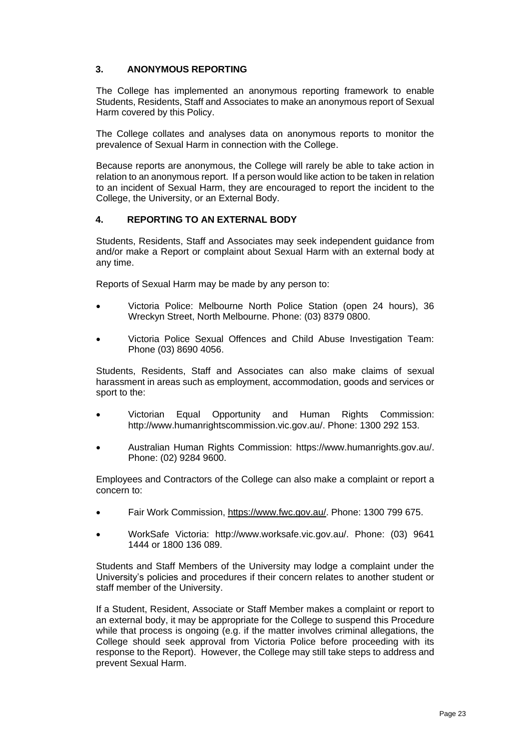#### <span id="page-22-0"></span>**3. ANONYMOUS REPORTING**

The College has implemented an anonymous reporting framework to enable Students, Residents, Staff and Associates to make an anonymous report of Sexual Harm covered by this Policy.

The College collates and analyses data on anonymous reports to monitor the prevalence of Sexual Harm in connection with the College.

Because reports are anonymous, the College will rarely be able to take action in relation to an anonymous report. If a person would like action to be taken in relation to an incident of Sexual Harm, they are encouraged to report the incident to the College, the University, or an External Body.

#### <span id="page-22-1"></span>**4. REPORTING TO AN EXTERNAL BODY**

Students, Residents, Staff and Associates may seek independent guidance from and/or make a Report or complaint about Sexual Harm with an external body at any time.

Reports of Sexual Harm may be made by any person to:

- Victoria Police: Melbourne North Police Station (open 24 hours), 36 Wreckyn Street, North Melbourne. Phone: (03) 8379 0800.
- Victoria Police Sexual Offences and Child Abuse Investigation Team: Phone (03) 8690 4056.

Students, Residents, Staff and Associates can also make claims of sexual harassment in areas such as employment, accommodation, goods and services or sport to the:

- Victorian Equal Opportunity and Human Rights Commission: [http://www.humanrightscommission.vic.gov.au/.](http://www.humanrightscommission.vic.gov.au/) Phone: 1300 292 153.
- Australian Human Rights Commission: [https://www.humanrights.gov.au/.](https://www.humanrights.gov.au/) Phone: (02) 9284 9600.

Employees and Contractors of the College can also make a complaint or report a concern to:

- Fair Work Commission, [https://www.fwc.gov.au/.](https://www.fwc.gov.au/) Phone: 1300 799 675.
- WorkSafe Victoria: [http://www.worksafe.vic.gov.au/.](http://www.worksafe.vic.gov.au/) Phone: (03) 9641 1444 or 1800 136 089.

Students and Staff Members of the University may lodge a complaint under the University's policies and procedures if their concern relates to another student or staff member of the University.

If a Student, Resident, Associate or Staff Member makes a complaint or report to an external body, it may be appropriate for the College to suspend this Procedure while that process is ongoing (e.g. if the matter involves criminal allegations, the College should seek approval from Victoria Police before proceeding with its response to the Report). However, the College may still take steps to address and prevent Sexual Harm.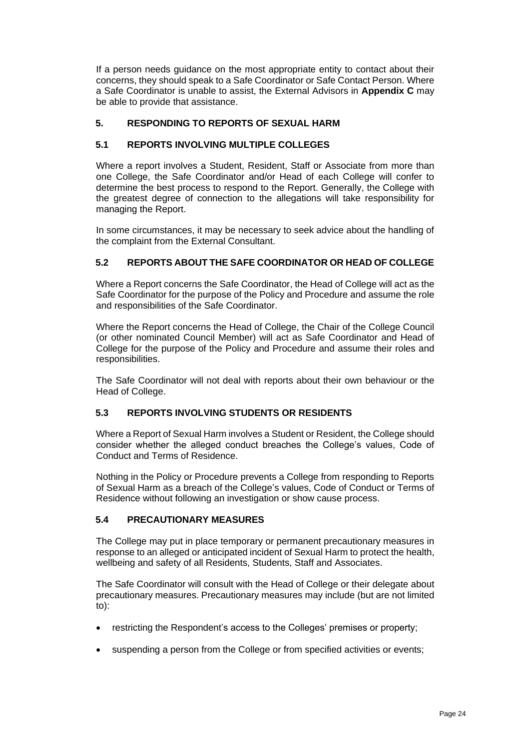If a person needs guidance on the most appropriate entity to contact about their concerns, they should speak to a Safe Coordinator or Safe Contact Person. Where a Safe Coordinator is unable to assist, the External Advisors in **Appendix C** may be able to provide that assistance.

#### <span id="page-23-1"></span><span id="page-23-0"></span>**5. RESPONDING TO REPORTS OF SEXUAL HARM**

#### **5.1 REPORTS INVOLVING MULTIPLE COLLEGES**

Where a report involves a Student, Resident, Staff or Associate from more than one College, the Safe Coordinator and/or Head of each College will confer to determine the best process to respond to the Report. Generally, the College with the greatest degree of connection to the allegations will take responsibility for managing the Report.

In some circumstances, it may be necessary to seek advice about the handling of the complaint from the External Consultant.

#### <span id="page-23-2"></span>**5.2 REPORTS ABOUT THE SAFE COORDINATOR OR HEAD OF COLLEGE**

Where a Report concerns the Safe Coordinator, the Head of College will act as the Safe Coordinator for the purpose of the Policy and Procedure and assume the role and responsibilities of the Safe Coordinator.

Where the Report concerns the Head of College, the Chair of the College Council (or other nominated Council Member) will act as Safe Coordinator and Head of College for the purpose of the Policy and Procedure and assume their roles and responsibilities.

The Safe Coordinator will not deal with reports about their own behaviour or the Head of College.

#### <span id="page-23-3"></span>**5.3 REPORTS INVOLVING STUDENTS OR RESIDENTS**

Where a Report of Sexual Harm involves a Student or Resident, the College should consider whether the alleged conduct breaches the College's values, Code of Conduct and Terms of Residence.

Nothing in the Policy or Procedure prevents a College from responding to Reports of Sexual Harm as a breach of the College's values, Code of Conduct or Terms of Residence without following an investigation or show cause process.

#### **5.4 PRECAUTIONARY MEASURES**

The College may put in place temporary or permanent precautionary measures in response to an alleged or anticipated incident of Sexual Harm to protect the health, wellbeing and safety of all Residents, Students, Staff and Associates.

The Safe Coordinator will consult with the Head of College or their delegate about precautionary measures. Precautionary measures may include (but are not limited to):

- restricting the Respondent's access to the Colleges' premises or property;
- suspending a person from the College or from specified activities or events;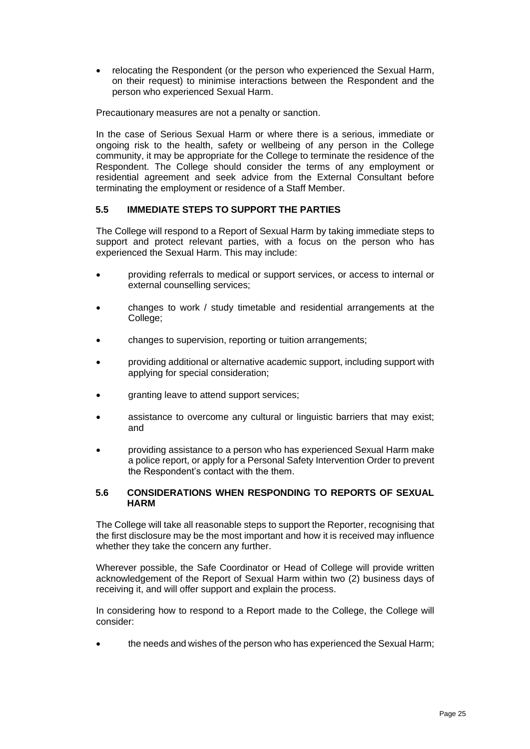• relocating the Respondent (or the person who experienced the Sexual Harm, on their request) to minimise interactions between the Respondent and the person who experienced Sexual Harm.

Precautionary measures are not a penalty or sanction.

In the case of Serious Sexual Harm or where there is a serious, immediate or ongoing risk to the health, safety or wellbeing of any person in the College community, it may be appropriate for the College to terminate the residence of the Respondent. The College should consider the terms of any employment or residential agreement and seek advice from the External Consultant before terminating the employment or residence of a Staff Member.

#### <span id="page-24-0"></span>**5.5 IMMEDIATE STEPS TO SUPPORT THE PARTIES**

The College will respond to a Report of Sexual Harm by taking immediate steps to support and protect relevant parties, with a focus on the person who has experienced the Sexual Harm. This may include:

- providing referrals to medical or support services, or access to internal or external counselling services;
- changes to work / study timetable and residential arrangements at the College;
- changes to supervision, reporting or tuition arrangements;
- providing additional or alternative academic support, including support with applying for special consideration;
- granting leave to attend support services;
- assistance to overcome any cultural or linguistic barriers that may exist; and
- providing assistance to a person who has experienced Sexual Harm make a police report, or apply for a Personal Safety Intervention Order to prevent the Respondent's contact with the them.

#### <span id="page-24-1"></span>**5.6 CONSIDERATIONS WHEN RESPONDING TO REPORTS OF SEXUAL HARM**

The College will take all reasonable steps to support the Reporter, recognising that the first disclosure may be the most important and how it is received may influence whether they take the concern any further.

Wherever possible, the Safe Coordinator or Head of College will provide written acknowledgement of the Report of Sexual Harm within two (2) business days of receiving it, and will offer support and explain the process.

In considering how to respond to a Report made to the College, the College will consider:

• the needs and wishes of the person who has experienced the Sexual Harm;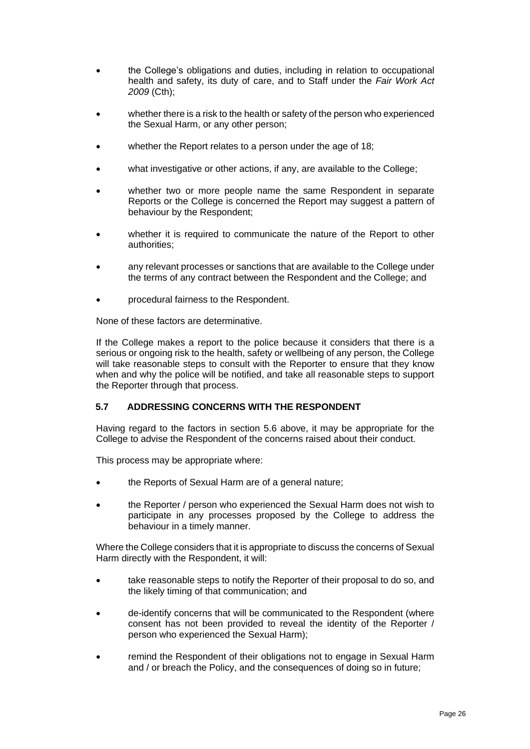- the College's obligations and duties, including in relation to occupational health and safety, its duty of care, and to Staff under the *Fair Work Act 2009* (Cth);
- whether there is a risk to the health or safety of the person who experienced the Sexual Harm, or any other person;
- whether the Report relates to a person under the age of 18;
- what investigative or other actions, if any, are available to the College;
- whether two or more people name the same Respondent in separate Reports or the College is concerned the Report may suggest a pattern of behaviour by the Respondent;
- whether it is required to communicate the nature of the Report to other authorities;
- any relevant processes or sanctions that are available to the College under the terms of any contract between the Respondent and the College; and
- procedural fairness to the Respondent.

None of these factors are determinative.

If the College makes a report to the police because it considers that there is a serious or ongoing risk to the health, safety or wellbeing of any person, the College will take reasonable steps to consult with the Reporter to ensure that they know when and why the police will be notified, and take all reasonable steps to support the Reporter through that process.

#### <span id="page-25-0"></span>**5.7 ADDRESSING CONCERNS WITH THE RESPONDENT**

Having regard to the factors in section [5.6](#page-24-1) above, it may be appropriate for the College to advise the Respondent of the concerns raised about their conduct.

This process may be appropriate where:

- the Reports of Sexual Harm are of a general nature;
- the Reporter / person who experienced the Sexual Harm does not wish to participate in any processes proposed by the College to address the behaviour in a timely manner.

Where the College considers that it is appropriate to discuss the concerns of Sexual Harm directly with the Respondent, it will:

- take reasonable steps to notify the Reporter of their proposal to do so, and the likely timing of that communication; and
- de-identify concerns that will be communicated to the Respondent (where consent has not been provided to reveal the identity of the Reporter / person who experienced the Sexual Harm);
- remind the Respondent of their obligations not to engage in Sexual Harm and / or breach the Policy, and the consequences of doing so in future;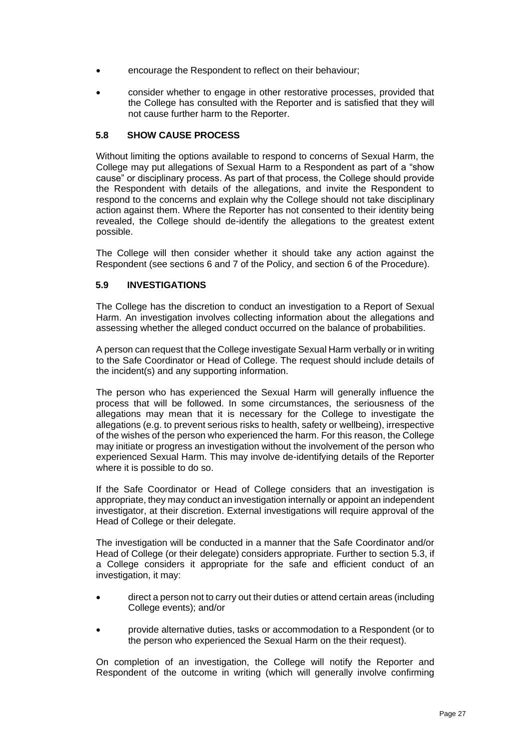- encourage the Respondent to reflect on their behaviour;
- consider whether to engage in other restorative processes, provided that the College has consulted with the Reporter and is satisfied that they will not cause further harm to the Reporter.

#### <span id="page-26-0"></span>**5.8 SHOW CAUSE PROCESS**

Without limiting the options available to respond to concerns of Sexual Harm, the College may put allegations of Sexual Harm to a Respondent as part of a "show cause" or disciplinary process. As part of that process, the College should provide the Respondent with details of the allegations, and invite the Respondent to respond to the concerns and explain why the College should not take disciplinary action against them. Where the Reporter has not consented to their identity being revealed, the College should de-identify the allegations to the greatest extent possible.

The College will then consider whether it should take any action against the Respondent (see sections [6](#page-5-0) and [7](#page-5-1) of the Policy, and section [6](#page-28-1) of the Procedure).

#### <span id="page-26-1"></span>**5.9 INVESTIGATIONS**

The College has the discretion to conduct an investigation to a Report of Sexual Harm. An investigation involves collecting information about the allegations and assessing whether the alleged conduct occurred on the balance of probabilities.

A person can request that the College investigate Sexual Harm verbally or in writing to the Safe Coordinator or Head of College. The request should include details of the incident(s) and any supporting information.

The person who has experienced the Sexual Harm will generally influence the process that will be followed. In some circumstances, the seriousness of the allegations may mean that it is necessary for the College to investigate the allegations (e.g. to prevent serious risks to health, safety or wellbeing), irrespective of the wishes of the person who experienced the harm. For this reason, the College may initiate or progress an investigation without the involvement of the person who experienced Sexual Harm. This may involve de-identifying details of the Reporter where it is possible to do so.

If the Safe Coordinator or Head of College considers that an investigation is appropriate, they may conduct an investigation internally or appoint an independent investigator, at their discretion. External investigations will require approval of the Head of College or their delegate.

The investigation will be conducted in a manner that the Safe Coordinator and/or Head of College (or their delegate) considers appropriate. Further to section [5.3,](#page-23-3) if a College considers it appropriate for the safe and efficient conduct of an investigation, it may:

- direct a person not to carry out their duties or attend certain areas (including College events); and/or
- provide alternative duties, tasks or accommodation to a Respondent (or to the person who experienced the Sexual Harm on the their request).

On completion of an investigation, the College will notify the Reporter and Respondent of the outcome in writing (which will generally involve confirming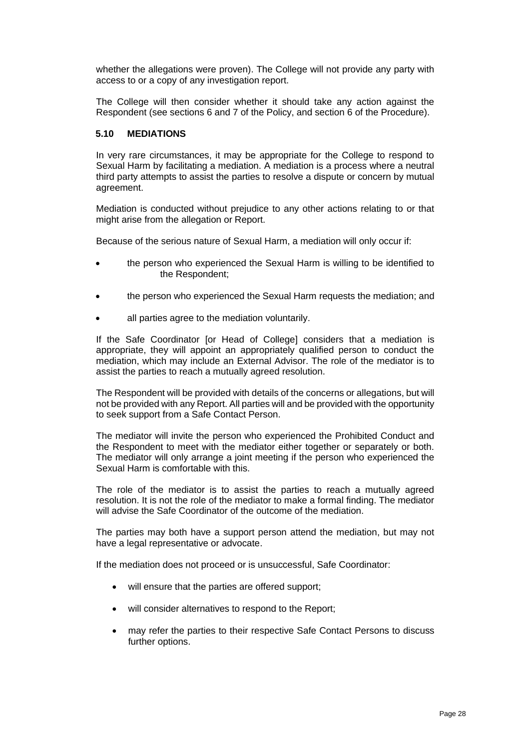whether the allegations were proven). The College will not provide any party with access to or a copy of any investigation report.

The College will then consider whether it should take any action against the Respondent (see sections [6](#page-5-0) and [7](#page-5-1) of the Policy, and section [6](#page-28-1) of the Procedure).

#### **5.10 MEDIATIONS**

In very rare circumstances, it may be appropriate for the College to respond to Sexual Harm by facilitating a mediation. A mediation is a process where a neutral third party attempts to assist the parties to resolve a dispute or concern by mutual agreement.

Mediation is conducted without prejudice to any other actions relating to or that might arise from the allegation or Report.

Because of the serious nature of Sexual Harm, a mediation will only occur if:

- the person who experienced the Sexual Harm is willing to be identified to the Respondent;
- the person who experienced the Sexual Harm requests the mediation; and
- all parties agree to the mediation voluntarily.

If the Safe Coordinator [or Head of College] considers that a mediation is appropriate, they will appoint an appropriately qualified person to conduct the mediation, which may include an External Advisor. The role of the mediator is to assist the parties to reach a mutually agreed resolution.

The Respondent will be provided with details of the concerns or allegations, but will not be provided with any Report. All parties will and be provided with the opportunity to seek support from a Safe Contact Person.

The mediator will invite the person who experienced the Prohibited Conduct and the Respondent to meet with the mediator either together or separately or both. The mediator will only arrange a joint meeting if the person who experienced the Sexual Harm is comfortable with this.

The role of the mediator is to assist the parties to reach a mutually agreed resolution. It is not the role of the mediator to make a formal finding. The mediator will advise the Safe Coordinator of the outcome of the mediation.

The parties may both have a support person attend the mediation, but may not have a legal representative or advocate.

If the mediation does not proceed or is unsuccessful, Safe Coordinator:

- will ensure that the parties are offered support;
- will consider alternatives to respond to the Report;
- may refer the parties to their respective Safe Contact Persons to discuss further options.